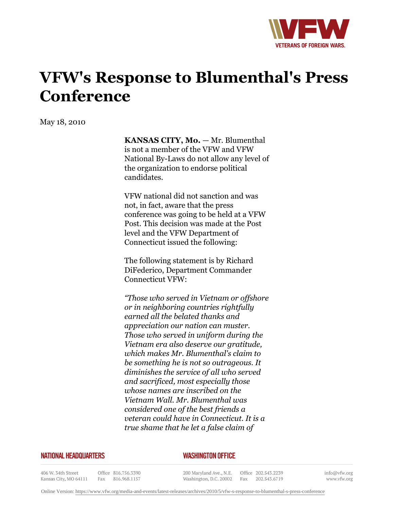

## **VFW's Response to Blumenthal's Press Conference**

May 18, 2010

**KANSAS CITY, Mo.** — Mr. Blumenthal is not a member of the VFW and VFW National By-Laws do not allow any level of the organization to endorse political candidates.

VFW national did not sanction and was not, in fact, aware that the press conference was going to be held at a VFW Post. This decision was made at the Post level and the VFW Department of Connecticut issued the following:

The following statement is by Richard DiFederico, Department Commander Connecticut VFW:

*"Those who served in Vietnam or offshore or in neighboring countries rightfully earned all the belated thanks and appreciation our nation can muster. Those who served in uniform during the Vietnam era also deserve our gratitude, which makes Mr. Blumenthal's claim to be something he is not so outrageous. It diminishes the service of all who served and sacrificed, most especially those whose names are inscribed on the Vietnam Wall. Mr. Blumenthal was considered one of the best friends a veteran could have in Connecticut. It is a true shame that he let a false claim of*

## **NATIONAL HEADQUARTERS**

## *WASHINGTON OFFICE*

406 W. 34th Street Kansas City, MO 64111

Office 816.756.3390 Fax 816.968.1157

200 Maryland Ave., N.E. Washington, D.C. 20002

Office 202.543.2239 Fax 202.543.6719

info@vfw.org www.vfw.org

Online Version:<https://www.vfw.org/media-and-events/latest-releases/archives/2010/5/vfw-s-response-to-blumenthal-s-press-conference>